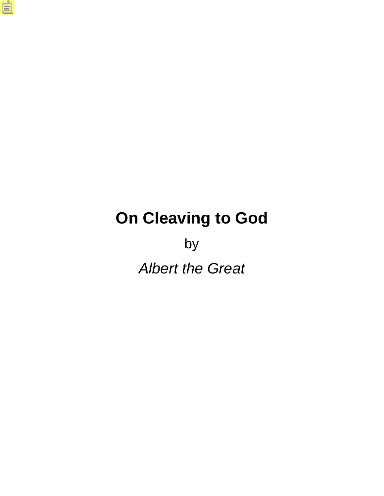# **On Cleaving to God**

by

*Albert the Great*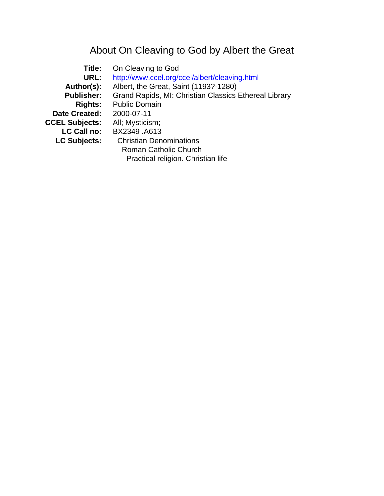# About On Cleaving to God by Albert the Great

<span id="page-1-0"></span>

| Title:                | On Cleaving to God                                    |
|-----------------------|-------------------------------------------------------|
| URL:                  | http://www.ccel.org/ccel/albert/cleaving.html         |
| Author(s):            | Albert, the Great, Saint (1193?-1280)                 |
| <b>Publisher:</b>     | Grand Rapids, MI: Christian Classics Ethereal Library |
| <b>Rights:</b>        | <b>Public Domain</b>                                  |
| <b>Date Created:</b>  | 2000-07-11                                            |
| <b>CCEL Subjects:</b> | All; Mysticism;                                       |
| <b>LC Call no:</b>    | BX2349 .A613                                          |
| <b>LC Subjects:</b>   | <b>Christian Denominations</b>                        |
|                       | Roman Catholic Church                                 |
|                       | Practical religion. Christian life                    |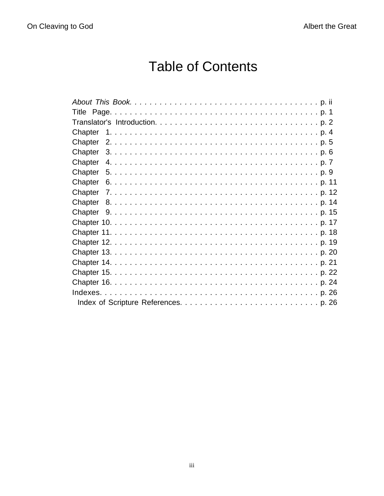# **Table of Contents**

| Chapter |
|---------|
| Chapter |
| Chapter |
| Chapter |
| Chapter |
|         |
|         |
|         |
|         |
|         |
|         |
|         |
|         |
|         |
|         |
|         |
|         |
|         |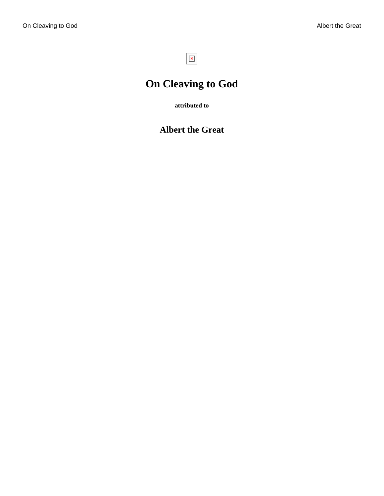$\boxed{\textbf{x}}$ 

# <span id="page-4-0"></span>**On Cleaving to God**

**attributed to**

## **Albert the Great**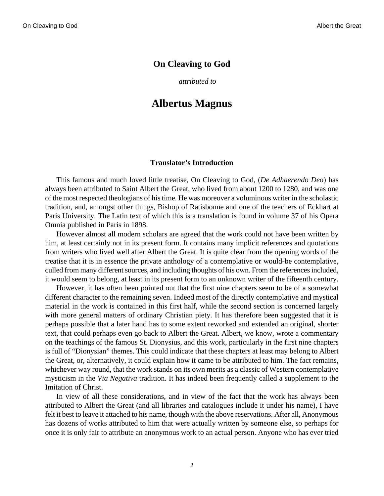#### <span id="page-5-0"></span>**On Cleaving to God**

*attributed to*

## **Albertus Magnus**

#### **Translator's Introduction**

This famous and much loved little treatise, On Cleaving to God, (*De Adhaerendo Deo*) has always been attributed to Saint Albert the Great, who lived from about 1200 to 1280, and was one of the most respected theologians of his time. He was moreover a voluminous writer in the scholastic tradition, and, amongst other things, Bishop of Ratisbonne and one of the teachers of Eckhart at Paris University. The Latin text of which this is a translation is found in volume 37 of his Opera Omnia published in Paris in 1898.

However almost all modern scholars are agreed that the work could not have been written by him, at least certainly not in its present form. It contains many implicit references and quotations from writers who lived well after Albert the Great. It is quite clear from the opening words of the treatise that it is in essence the private anthology of a contemplative or would-be contemplative, culled from many different sources, and including thoughts of his own. From the references included, it would seem to belong, at least in its present form to an unknown writer of the fifteenth century.

However, it has often been pointed out that the first nine chapters seem to be of a somewhat different character to the remaining seven. Indeed most of the directly contemplative and mystical material in the work is contained in this first half, while the second section is concerned largely with more general matters of ordinary Christian piety. It has therefore been suggested that it is perhaps possible that a later hand has to some extent reworked and extended an original, shorter text, that could perhaps even go back to Albert the Great. Albert, we know, wrote a commentary on the teachings of the famous St. Dionysius, and this work, particularly in the first nine chapters is full of "Dionysian" themes. This could indicate that these chapters at least may belong to Albert the Great, or, alternatively, it could explain how it came to be attributed to him. The fact remains, whichever way round, that the work stands on its own merits as a classic of Western contemplative mysticism in the *Via Negativa* tradition. It has indeed been frequently called a supplement to the Imitation of Christ.

In view of all these considerations, and in view of the fact that the work has always been attributed to Albert the Great (and all libraries and catalogues include it under his name), I have felt it best to leave it attached to his name, though with the above reservations. After all, Anonymous has dozens of works attributed to him that were actually written by someone else, so perhaps for once it is only fair to attribute an anonymous work to an actual person. Anyone who has ever tried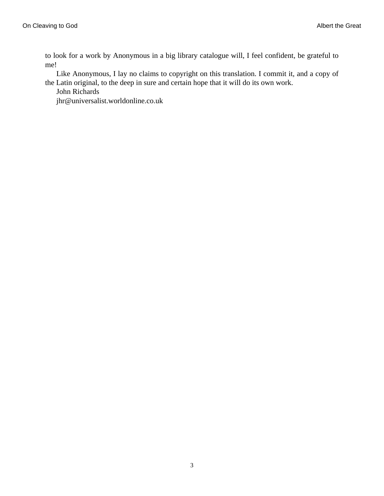to look for a work by Anonymous in a big library catalogue will, I feel confident, be grateful to me!

Like Anonymous, I lay no claims to copyright on this translation. I commit it, and a copy of the Latin original, to the deep in sure and certain hope that it will do its own work.

John Richards

[jhr@universalist.worldonline.co.uk](http://www.ccel.org/a/albert/cleaving/mailto:jhr@universalist.worldonline.co.uk)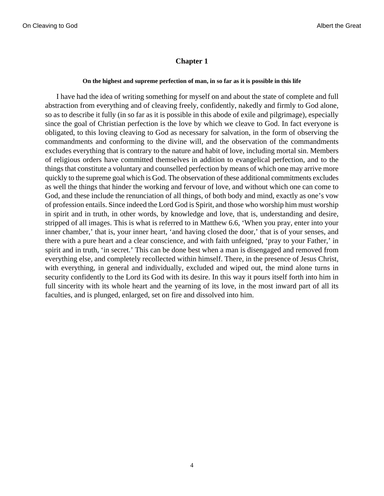#### **On the highest and supreme perfection of man, in so far as it is possible in this life**

<span id="page-7-1"></span><span id="page-7-0"></span>I have had the idea of writing something for myself on and about the state of complete and full abstraction from everything and of cleaving freely, confidently, nakedly and firmly to God alone, so as to describe it fully (in so far as it is possible in this abode of exile and pilgrimage), especially since the goal of Christian perfection is the love by which we cleave to God. In fact everyone is obligated, to this loving cleaving to God as necessary for salvation, in the form of observing the commandments and conforming to the divine will, and the observation of the commandments excludes everything that is contrary to the nature and habit of love, including mortal sin. Members of religious orders have committed themselves in addition to evangelical perfection, and to the things that constitute a voluntary and counselled perfection by means of which one may arrive more quickly to the supreme goal which is God. The observation of these additional commitments excludes as well the things that hinder the working and fervour of love, and without which one can come to God, and these include the renunciation of all things, of both body and mind, exactly as one's vow of profession entails. Since indeed the Lord God is Spirit, and those who worship him must worship in spirit and in truth, in other words, by knowledge and love, that is, understanding and desire, stripped of all images. This is what is referred to in [Matthew 6.6,](http://www.ccel.org/b/bible/asv/xml/asv.Matthew.6.xml#Matthew.6.6) 'When you pray, enter into your inner chamber,' that is, your inner heart, 'and having closed the door,' that is of your senses, and there with a pure heart and a clear conscience, and with faith unfeigned, 'pray to your Father,' in spirit and in truth, 'in secret.' This can be done best when a man is disengaged and removed from everything else, and completely recollected within himself. There, in the presence of Jesus Christ, with everything, in general and individually, excluded and wiped out, the mind alone turns in security confidently to the Lord its God with its desire. In this way it pours itself forth into him in full sincerity with its whole heart and the yearning of its love, in the most inward part of all its faculties, and is plunged, enlarged, set on fire and dissolved into him.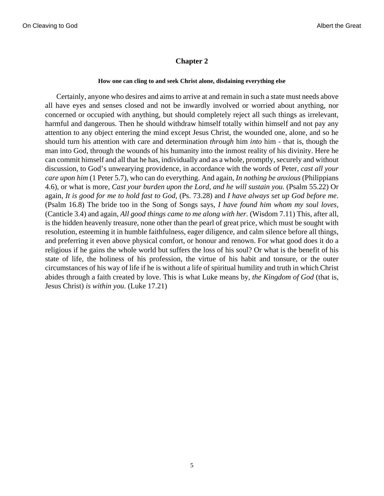#### **How one can cling to and seek Christ alone, disdaining everything else**

<span id="page-8-6"></span><span id="page-8-5"></span><span id="page-8-4"></span><span id="page-8-3"></span><span id="page-8-2"></span><span id="page-8-1"></span><span id="page-8-0"></span>Certainly, anyone who desires and aims to arrive at and remain in such a state must needs above all have eyes and senses closed and not be inwardly involved or worried about anything, nor concerned or occupied with anything, but should completely reject all such things as irrelevant, harmful and dangerous. Then he should withdraw himself totally within himself and not pay any attention to any object entering the mind except Jesus Christ, the wounded one, alone, and so he should turn his attention with care and determination *through* him *into* him - that is, though the man into God, through the wounds of his humanity into the inmost reality of his divinity. Here he can commit himself and all that he has, individually and as a whole, promptly, securely and without discussion, to God's unwearying providence, in accordance with the words of Peter, *cast all your care upon him* [\(1 Peter 5.7\)](http://www.ccel.org/b/bible/asv/xml/asv.i Peter.5.xml#i Peter.5.7), who can do everything. And again, *In nothing be anxious* ([Philippians](http://www.ccel.org/b/bible/asv/xml/asv.Philippians.4.xml#Philippians.4.6) [4.6](http://www.ccel.org/b/bible/asv/xml/asv.Philippians.4.xml#Philippians.4.6)), or what is more, *Cast your burden upon the Lord, and he will sustain you.* ([Psalm 55.22](http://www.ccel.org/b/bible/asv/xml/asv.Psalms.55.xml#Psalms.55.22)) Or again, *It is good for me to hold fast to God,* [\(Ps. 73.28\)](http://www.ccel.org/b/bible/asv/xml/asv.Psalms.73.xml#Psalms.73.28) and *I have always set up God before me*. ([Psalm 16.8\)](http://www.ccel.org/b/bible/asv/xml/asv.Psalms.16.xml#Psalms.16.8) The bride too in the Song of Songs says, *I have found him whom my soul loves,* ([Canticle 3.4\)](http://www.ccel.org/b/bible/asv/xml/asv.Song of Songs.3.xml#Song of Songs.3.4) and again, *All good things came to me along with her.* [\(Wisdom 7.11\)](http://www.ccel.org/b/bible/asv/xml/asv.Wisdom.7.xml#Wisdom.7.11) This, after all, is the hidden heavenly treasure, none other than the pearl of great price, which must be sought with resolution, esteeming it in humble faithfulness, eager diligence, and calm silence before all things, and preferring it even above physical comfort, or honour and renown. For what good does it do a religious if he gains the whole world but suffers the loss of his soul? Or what is the benefit of his state of life, the holiness of his profession, the virtue of his habit and tonsure, or the outer circumstances of his way of life if he is without a life of spiritual humility and truth in which Christ abides through a faith created by love. This is what Luke means by, *the Kingdom of God* (that is, Jesus Christ) *is within you.* [\(Luke 17.21\)](http://www.ccel.org/b/bible/asv/xml/asv.Luke.17.xml#Luke.17.21)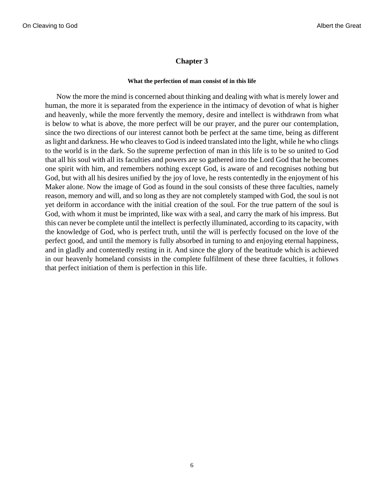#### **What the perfection of man consist of in this life**

<span id="page-9-0"></span>Now the more the mind is concerned about thinking and dealing with what is merely lower and human, the more it is separated from the experience in the intimacy of devotion of what is higher and heavenly, while the more fervently the memory, desire and intellect is withdrawn from what is below to what is above, the more perfect will be our prayer, and the purer our contemplation, since the two directions of our interest cannot both be perfect at the same time, being as different as light and darkness. He who cleaves to God is indeed translated into the light, while he who clings to the world is in the dark. So the supreme perfection of man in this life is to be so united to God that all his soul with all its faculties and powers are so gathered into the Lord God that he becomes one spirit with him, and remembers nothing except God, is aware of and recognises nothing but God, but with all his desires unified by the joy of love, he rests contentedly in the enjoyment of his Maker alone. Now the image of God as found in the soul consists of these three faculties, namely reason, memory and will, and so long as they are not completely stamped with God, the soul is not yet deiform in accordance with the initial creation of the soul. For the true pattern of the soul is God, with whom it must be imprinted, like wax with a seal, and carry the mark of his impress. But this can never be complete until the intellect is perfectly illuminated, according to its capacity, with the knowledge of God, who is perfect truth, until the will is perfectly focused on the love of the perfect good, and until the memory is fully absorbed in turning to and enjoying eternal happiness, and in gladly and contentedly resting in it. And since the glory of the beatitude which is achieved in our heavenly homeland consists in the complete fulfilment of these three faculties, it follows that perfect initiation of them is perfection in this life.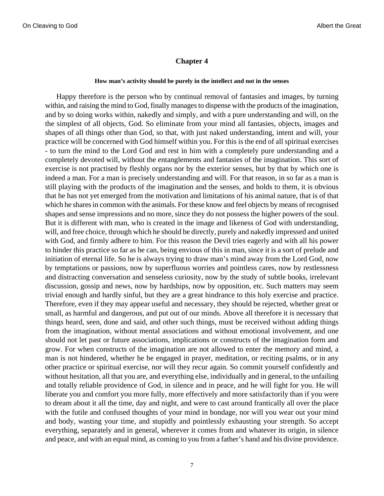#### **How man's activity should be purely in the intellect and not in the senses**

<span id="page-10-0"></span>Happy therefore is the person who by continual removal of fantasies and images, by turning within, and raising the mind to God, finally manages to dispense with the products of the imagination, and by so doing works within, nakedly and simply, and with a pure understanding and will, on the the simplest of all objects, God. So eliminate from your mind all fantasies, objects, images and shapes of all things other than God, so that, with just naked understanding, intent and will, your practice will be concerned with God himself within you. For this is the end of all spiritual exercises - to turn the mind to the Lord God and rest in him with a completely pure understanding and a completely devoted will, without the entanglements and fantasies of the imagination. This sort of exercise is not practised by fleshly organs nor by the exterior senses, but by that by which one is indeed a man. For a man is precisely understanding and will. For that reason, in so far as a man is still playing with the products of the imagination and the senses, and holds to them, it is obvious that he has not yet emerged from the motivation and limitations of his animal nature, that is of that which he shares in common with the animals. For these know and feel objects by means of recognised shapes and sense impressions and no more, since they do not possess the higher powers of the soul. But it is different with man, who is created in the image and likeness of God with understanding, will, and free choice, through which he should be directly, purely and nakedly impressed and united with God, and firmly adhere to him. For this reason the Devil tries eagerly and with all his power to hinder this practice so far as he can, being envious of this in man, since it is a sort of prelude and initiation of eternal life. So he is always trying to draw man's mind away from the Lord God, now by temptations or passions, now by superfluous worries and pointless cares, now by restlessness and distracting conversation and senseless curiosity, now by the study of subtle books, irrelevant discussion, gossip and news, now by hardships, now by opposition, etc. Such matters may seem trivial enough and hardly sinful, but they are a great hindrance to this holy exercise and practice. Therefore, even if they may appear useful and necessary, they should be rejected, whether great or small, as harmful and dangerous, and put out of our minds. Above all therefore it is necessary that things heard, seen, done and said, and other such things, must be received without adding things from the imagination, without mental associations and without emotional involvement, and one should not let past or future associations, implications or constructs of the imagination form and grow. For when constructs of the imagination are not allowed to enter the memory and mind, a man is not hindered, whether he be engaged in prayer, meditation, or reciting psalms, or in any other practice or spiritual exercise, nor will they recur again. So commit yourself confidently and without hesitation, all that you are, and everything else, individually and in general, to the unfailing and totally reliable providence of God, in silence and in peace, and he will fight for you. He will liberate you and comfort you more fully, more effectively and more satisfactorily than if you were to dream about it all the time, day and night, and were to cast around frantically all over the place with the futile and confused thoughts of your mind in bondage, nor will you wear out your mind and body, wasting your time, and stupidly and pointlessly exhausting your strength. So accept everything, separately and in general, wherever it comes from and whatever its origin, in silence and peace, and with an equal mind, as coming to you from a father's hand and his divine providence.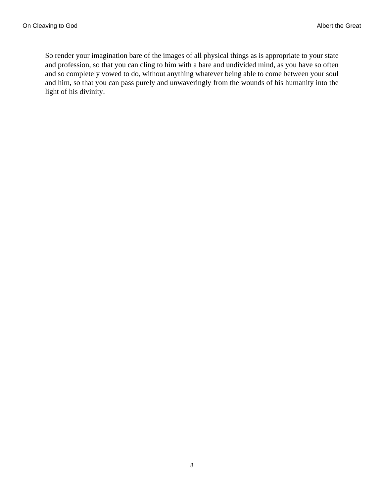So render your imagination bare of the images of all physical things as is appropriate to your state and profession, so that you can cling to him with a bare and undivided mind, as you have so often and so completely vowed to do, without anything whatever being able to come between your soul and him, so that you can pass purely and unwaveringly from the wounds of his humanity into the light of his divinity.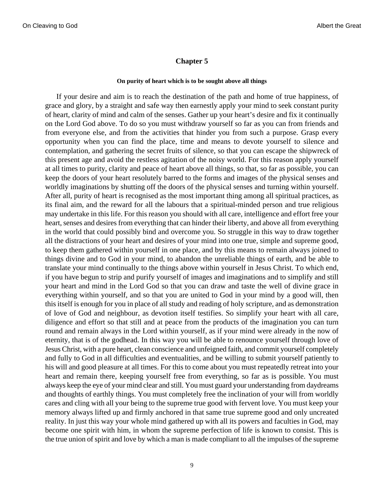#### **On purity of heart which is to be sought above all things**

<span id="page-12-0"></span>If your desire and aim is to reach the destination of the path and home of true happiness, of grace and glory, by a straight and safe way then earnestly apply your mind to seek constant purity of heart, clarity of mind and calm of the senses. Gather up your heart's desire and fix it continually on the Lord God above. To do so you must withdraw yourself so far as you can from friends and from everyone else, and from the activities that hinder you from such a purpose. Grasp every opportunity when you can find the place, time and means to devote yourself to silence and contemplation, and gathering the secret fruits of silence, so that you can escape the shipwreck of this present age and avoid the restless agitation of the noisy world. For this reason apply yourself at all times to purity, clarity and peace of heart above all things, so that, so far as possible, you can keep the doors of your heart resolutely barred to the forms and images of the physical senses and worldly imaginations by shutting off the doors of the physical senses and turning within yourself. After all, purity of heart is recognised as the most important thing among all spiritual practices, as its final aim, and the reward for all the labours that a spiritual-minded person and true religious may undertake in this life. For this reason you should with all care, intelligence and effort free your heart, senses and desires from everything that can hinder their liberty, and above all from everything in the world that could possibly bind and overcome you. So struggle in this way to draw together all the distractions of your heart and desires of your mind into one true, simple and supreme good, to keep them gathered within yourself in one place, and by this means to remain always joined to things divine and to God in your mind, to abandon the unreliable things of earth, and be able to translate your mind continually to the things above within yourself in Jesus Christ. To which end, if you have begun to strip and purify yourself of images and imaginations and to simplify and still your heart and mind in the Lord God so that you can draw and taste the well of divine grace in everything within yourself, and so that you are united to God in your mind by a good will, then this itself is enough for you in place of all study and reading of holy scripture, and as demonstration of love of God and neighbour, as devotion itself testifies. So simplify your heart with all care, diligence and effort so that still and at peace from the products of the imagination you can turn round and remain always in the Lord within yourself, as if your mind were already in the now of eternity, that is of the godhead. In this way you will be able to renounce yourself through love of Jesus Christ, with a pure heart, clean conscience and unfeigned faith, and commit yourself completely and fully to God in all difficulties and eventualities, and be willing to submit yourself patiently to his will and good pleasure at all times. For this to come about you must repeatedly retreat into your heart and remain there, keeping yourself free from everything, so far as is possible. You must always keep the eye of your mind clear and still. You must guard your understanding from daydreams and thoughts of earthly things. You must completely free the inclination of your will from worldly cares and cling with all your being to the supreme true good with fervent love. You must keep your memory always lifted up and firmly anchored in that same true supreme good and only uncreated reality. In just this way your whole mind gathered up with all its powers and faculties in God, may become one spirit with him, in whom the supreme perfection of life is known to consist. This is the true union of spirit and love by which a man is made compliant to all the impulses of the supreme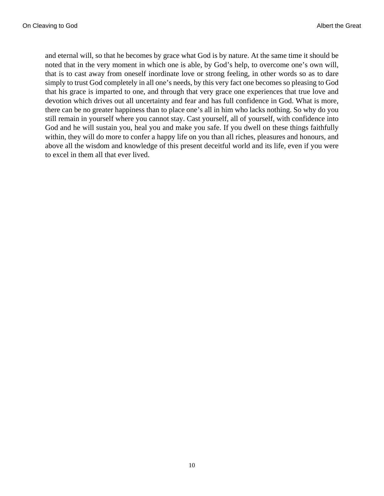and eternal will, so that he becomes by grace what God is by nature. At the same time it should be noted that in the very moment in which one is able, by God's help, to overcome one's own will, that is to cast away from oneself inordinate love or strong feeling, in other words so as to dare simply to trust God completely in all one's needs, by this very fact one becomes so pleasing to God that his grace is imparted to one, and through that very grace one experiences that true love and devotion which drives out all uncertainty and fear and has full confidence in God. What is more, there can be no greater happiness than to place one's all in him who lacks nothing. So why do you still remain in yourself where you cannot stay. Cast yourself, all of yourself, with confidence into God and he will sustain you, heal you and make you safe. If you dwell on these things faithfully within, they will do more to confer a happy life on you than all riches, pleasures and honours, and above all the wisdom and knowledge of this present deceitful world and its life, even if you were to excel in them all that ever lived.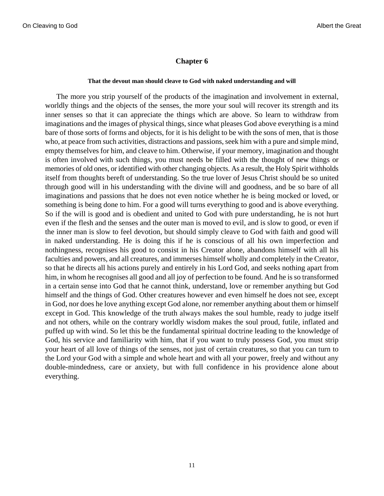#### **That the devout man should cleave to God with naked understanding and will**

<span id="page-14-0"></span>The more you strip yourself of the products of the imagination and involvement in external, worldly things and the objects of the senses, the more your soul will recover its strength and its inner senses so that it can appreciate the things which are above. So learn to withdraw from imaginations and the images of physical things, since what pleases God above everything is a mind bare of those sorts of forms and objects, for it is his delight to be with the sons of men, that is those who, at peace from such activities, distractions and passions, seek him with a pure and simple mind, empty themselves for him, and cleave to him. Otherwise, if your memory, imagination and thought is often involved with such things, you must needs be filled with the thought of new things or memories of old ones, or identified with other changing objects. As a result, the Holy Spirit withholds itself from thoughts bereft of understanding. So the true lover of Jesus Christ should be so united through good will in his understanding with the divine will and goodness, and be so bare of all imaginations and passions that he does not even notice whether he is being mocked or loved, or something is being done to him. For a good will turns everything to good and is above everything. So if the will is good and is obedient and united to God with pure understanding, he is not hurt even if the flesh and the senses and the outer man is moved to evil, and is slow to good, or even if the inner man is slow to feel devotion, but should simply cleave to God with faith and good will in naked understanding. He is doing this if he is conscious of all his own imperfection and nothingness, recognises his good to consist in his Creator alone, abandons himself with all his faculties and powers, and all creatures, and immerses himself wholly and completely in the Creator, so that he directs all his actions purely and entirely in his Lord God, and seeks nothing apart from him, in whom he recognises all good and all joy of perfection to be found. And he is so transformed in a certain sense into God that he cannot think, understand, love or remember anything but God himself and the things of God. Other creatures however and even himself he does not see, except in God, nor does he love anything except God alone, nor remember anything about them or himself except in God. This knowledge of the truth always makes the soul humble, ready to judge itself and not others, while on the contrary worldly wisdom makes the soul proud, futile, inflated and puffed up with wind. So let this be the fundamental spiritual doctrine leading to the knowledge of God, his service and familiarity with him, that if you want to truly possess God, you must strip your heart of all love of things of the senses, not just of certain creatures, so that you can turn to the Lord your God with a simple and whole heart and with all your power, freely and without any double-mindedness, care or anxiety, but with full confidence in his providence alone about everything.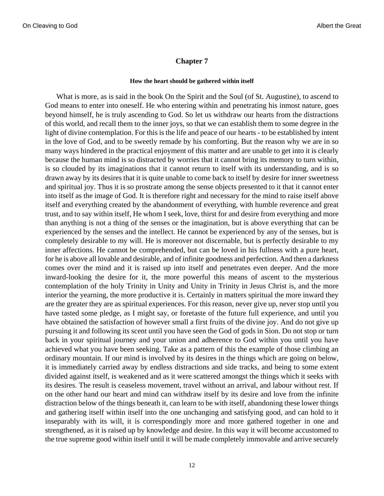#### **How the heart should be gathered within itself**

<span id="page-15-0"></span>What is more, as is said in the book On the Spirit and the Soul (of St. Augustine), to ascend to God means to enter into oneself. He who entering within and penetrating his inmost nature, goes beyond himself, he is truly ascending to God. So let us withdraw our hearts from the distractions of this world, and recall them to the inner joys, so that we can establish them to some degree in the light of divine contemplation. For this is the life and peace of our hearts - to be established by intent in the love of God, and to be sweetly remade by his comforting. But the reason why we are in so many ways hindered in the practical enjoyment of this matter and are unable to get into it is clearly because the human mind is so distracted by worries that it cannot bring its memory to turn within, is so clouded by its imaginations that it cannot return to itself with its understanding, and is so drawn away by its desires that it is quite unable to come back to itself by desire for inner sweetness and spiritual joy. Thus it is so prostrate among the sense objects presented to it that it cannot enter into itself as the image of God. It is therefore right and necessary for the mind to raise itself above itself and everything created by the abandonment of everything, with humble reverence and great trust, and to say within itself, He whom I seek, love, thirst for and desire from everything and more than anything is not a thing of the senses or the imagination, but is above everything that can be experienced by the senses and the intellect. He cannot be experienced by any of the senses, but is completely desirable to my will. He is moreover not discernable, but is perfectly desirable to my inner affections. He cannot be comprehended, but can be loved in his fullness with a pure heart, for he is above all lovable and desirable, and of infinite goodness and perfection. And then a darkness comes over the mind and it is raised up into itself and penetrates even deeper. And the more inward-looking the desire for it, the more powerful this means of ascent to the mysterious contemplation of the holy Trinity in Unity and Unity in Trinity in Jesus Christ is, and the more interior the yearning, the more productive it is. Certainly in matters spiritual the more inward they are the greater they are as spiritual experiences. For this reason, never give up, never stop until you have tasted some pledge, as I might say, or foretaste of the future full experience, and until you have obtained the satisfaction of however small a first fruits of the divine joy. And do not give up pursuing it and following its scent until you have seen the God of gods in Sion. Do not stop or turn back in your spiritual journey and your union and adherence to God within you until you have achieved what you have been seeking. Take as a pattern of this the example of those climbing an ordinary mountain. If our mind is involved by its desires in the things which are going on below, it is immediately carried away by endless distractions and side tracks, and being to some extent divided against itself, is weakened and as it were scattered amongst the things which it seeks with its desires. The result is ceaseless movement, travel without an arrival, and labour without rest. If on the other hand our heart and mind can withdraw itself by its desire and love from the infinite distraction below of the things beneath it, can learn to be with itself, abandoning these lower things and gathering itself within itself into the one unchanging and satisfying good, and can hold to it inseparably with its will, it is correspondingly more and more gathered together in one and strengthened, as it is raised up by knowledge and desire. In this way it will become accustomed to the true supreme good within itself until it will be made completely immovable and arrive securely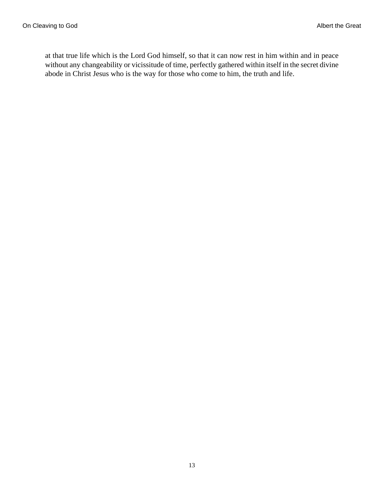at that true life which is the Lord God himself, so that it can now rest in him within and in peace without any changeability or vicissitude of time, perfectly gathered within itself in the secret divine abode in Christ Jesus who is the way for those who come to him, the truth and life.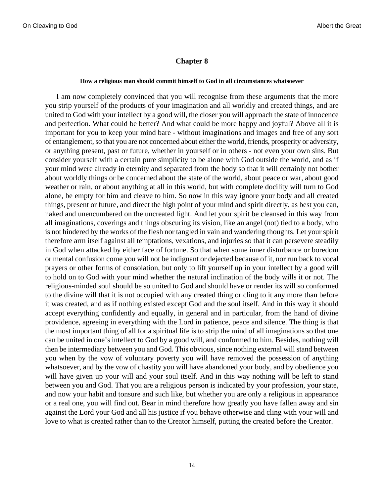#### **How a religious man should commit himself to God in all circumstances whatsoever**

<span id="page-17-0"></span>I am now completely convinced that you will recognise from these arguments that the more you strip yourself of the products of your imagination and all worldly and created things, and are united to God with your intellect by a good will, the closer you will approach the state of innocence and perfection. What could be better? And what could be more happy and joyful? Above all it is important for you to keep your mind bare - without imaginations and images and free of any sort of entanglement, so that you are not concerned about either the world, friends, prosperity or adversity, or anything present, past or future, whether in yourself or in others - not even your own sins. But consider yourself with a certain pure simplicity to be alone with God outside the world, and as if your mind were already in eternity and separated from the body so that it will certainly not bother about worldly things or be concerned about the state of the world, about peace or war, about good weather or rain, or about anything at all in this world, but with complete docility will turn to God alone, be empty for him and cleave to him. So now in this way ignore your body and all created things, present or future, and direct the high point of your mind and spirit directly, as best you can, naked and unencumbered on the uncreated light. And let your spirit be cleansed in this way from all imaginations, coverings and things obscuring its vision, like an angel (not) tied to a body, who is not hindered by the works of the flesh nor tangled in vain and wandering thoughts. Let your spirit therefore arm itself against all temptations, vexations, and injuries so that it can persevere steadily in God when attacked by either face of fortune. So that when some inner disturbance or boredom or mental confusion come you will not be indignant or dejected because of it, nor run back to vocal prayers or other forms of consolation, but only to lift yourself up in your intellect by a good will to hold on to God with your mind whether the natural inclination of the body wills it or not. The religious-minded soul should be so united to God and should have or render its will so conformed to the divine will that it is not occupied with any created thing or cling to it any more than before it was created, and as if nothing existed except God and the soul itself. And in this way it should accept everything confidently and equally, in general and in particular, from the hand of divine providence, agreeing in everything with the Lord in patience, peace and silence. The thing is that the most important thing of all for a spiritual life is to strip the mind of all imaginations so that one can be united in one's intellect to God by a good will, and conformed to him. Besides, nothing will then be intermediary between you and God. This obvious, since nothing external will stand between you when by the vow of voluntary poverty you will have removed the possession of anything whatsoever, and by the vow of chastity you will have abandoned your body, and by obedience you will have given up your will and your soul itself. And in this way nothing will be left to stand between you and God. That you are a religious person is indicated by your profession, your state, and now your habit and tonsure and such like, but whether you are only a religious in appearance or a real one, you will find out. Bear in mind therefore how greatly you have fallen away and sin against the Lord your God and all his justice if you behave otherwise and cling with your will and love to what is created rather than to the Creator himself, putting the created before the Creator.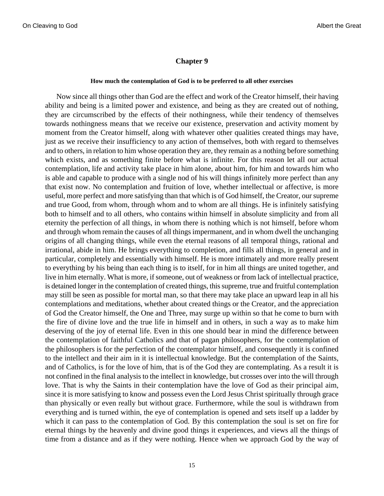#### **How much the contemplation of God is to be preferred to all other exercises**

<span id="page-18-0"></span>Now since all things other than God are the effect and work of the Creator himself, their having ability and being is a limited power and existence, and being as they are created out of nothing, they are circumscribed by the effects of their nothingness, while their tendency of themselves towards nothingness means that we receive our existence, preservation and activity moment by moment from the Creator himself, along with whatever other qualities created things may have, just as we receive their insufficiency to any action of themselves, both with regard to themselves and to others, in relation to him whose operation they are, they remain as a nothing before something which exists, and as something finite before what is infinite. For this reason let all our actual contemplation, life and activity take place in him alone, about him, for him and towards him who is able and capable to produce with a single nod of his will things infinitely more perfect than any that exist now. No contemplation and fruition of love, whether intellectual or affective, is more useful, more perfect and more satisfying than that which is of God himself, the Creator, our supreme and true Good, from whom, through whom and to whom are all things. He is infinitely satisfying both to himself and to all others, who contains within himself in absolute simplicity and from all eternity the perfection of all things, in whom there is nothing which is not himself, before whom and through whom remain the causes of all things impermanent, and in whom dwell the unchanging origins of all changing things, while even the eternal reasons of all temporal things, rational and irrational, abide in him. He brings everything to completion, and fills all things, in general and in particular, completely and essentially with himself. He is more intimately and more really present to everything by his being than each thing is to itself, for in him all things are united together, and live in him eternally. What is more, if someone, out of weakness or from lack of intellectual practice, is detained longer in the contemplation of created things, this supreme, true and fruitful contemplation may still be seen as possible for mortal man, so that there may take place an upward leap in all his contemplations and meditations, whether about created things or the Creator, and the appreciation of God the Creator himself, the One and Three, may surge up within so that he come to burn with the fire of divine love and the true life in himself and in others, in such a way as to make him deserving of the joy of eternal life. Even in this one should bear in mind the difference between the contemplation of faithful Catholics and that of pagan philosophers, for the contemplation of the philosophers is for the perfection of the contemplator himself, and consequently it is confined to the intellect and their aim in it is intellectual knowledge. But the contemplation of the Saints, and of Catholics, is for the love of him, that is of the God they are contemplating. As a result it is not confined in the final analysis to the intellect in knowledge, but crosses over into the will through love. That is why the Saints in their contemplation have the love of God as their principal aim, since it is more satisfying to know and possess even the Lord Jesus Christ spiritually through grace than physically or even really but without grace. Furthermore, while the soul is withdrawn from everything and is turned within, the eye of contemplation is opened and sets itself up a ladder by which it can pass to the contemplation of God. By this contemplation the soul is set on fire for eternal things by the heavenly and divine good things it experiences, and views all the things of time from a distance and as if they were nothing. Hence when we approach God by the way of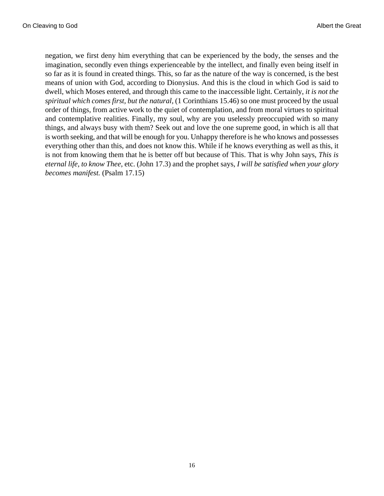<span id="page-19-2"></span><span id="page-19-1"></span><span id="page-19-0"></span>negation, we first deny him everything that can be experienced by the body, the senses and the imagination, secondly even things experienceable by the intellect, and finally even being itself in so far as it is found in created things. This, so far as the nature of the way is concerned, is the best means of union with God, according to Dionysius. And this is the cloud in which God is said to dwell, which Moses entered, and through this came to the inaccessible light. Certainly, *it is not the spiritual which comes first, but the natural,* [\(1 Corinthians 15.46](http://www.ccel.org/b/bible/asv/xml/asv.i Corinthians.15.xml#i Corinthians.15.46)) so one must proceed by the usual order of things, from active work to the quiet of contemplation, and from moral virtues to spiritual and contemplative realities. Finally, my soul, why are you uselessly preoccupied with so many things, and always busy with them? Seek out and love the one supreme good, in which is all that is worth seeking, and that will be enough for you. Unhappy therefore is he who knows and possesses everything other than this, and does not know this. While if he knows everything as well as this, it is not from knowing them that he is better off but because of This. That is why John says, *This is eternal life, to know Thee,* etc. [\(John 17.3](http://www.ccel.org/b/bible/asv/xml/asv.John.17.xml#John.17.3)) and the prophet says, *I will be satisfied when your glory becomes manifest.* ([Psalm 17.15](http://www.ccel.org/b/bible/asv/xml/asv.Psalms.17.xml#Psalms.17.15))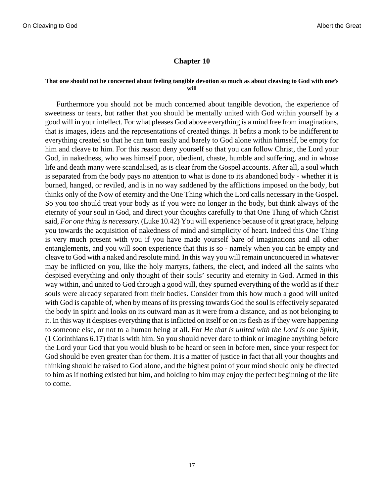#### <span id="page-20-0"></span>**That one should not be concerned about feeling tangible devotion so much as about cleaving to God with one's will**

<span id="page-20-2"></span><span id="page-20-1"></span>Furthermore you should not be much concerned about tangible devotion, the experience of sweetness or tears, but rather that you should be mentally united with God within yourself by a good will in your intellect. For what pleases God above everything is a mind free from imaginations, that is images, ideas and the representations of created things. It befits a monk to be indifferent to everything created so that he can turn easily and barely to God alone within himself, be empty for him and cleave to him. For this reason deny yourself so that you can follow Christ, the Lord your God, in nakedness, who was himself poor, obedient, chaste, humble and suffering, and in whose life and death many were scandalised, as is clear from the Gospel accounts. After all, a soul which is separated from the body pays no attention to what is done to its abandoned body - whether it is burned, hanged, or reviled, and is in no way saddened by the afflictions imposed on the body, but thinks only of the Now of eternity and the One Thing which the Lord calls necessary in the Gospel. So you too should treat your body as if you were no longer in the body, but think always of the eternity of your soul in God, and direct your thoughts carefully to that One Thing of which Christ said, *For one thing is necessary.* [\(Luke 10.42\)](http://www.ccel.org/b/bible/asv/xml/asv.Luke.10.xml#Luke.10.42) You will experience because of it great grace, helping you towards the acquisition of nakedness of mind and simplicity of heart. Indeed this One Thing is very much present with you if you have made yourself bare of imaginations and all other entanglements, and you will soon experience that this is so - namely when you can be empty and cleave to God with a naked and resolute mind. In this way you will remain unconquered in whatever may be inflicted on you, like the holy martyrs, fathers, the elect, and indeed all the saints who despised everything and only thought of their souls' security and eternity in God. Armed in this way within, and united to God through a good will, they spurned everything of the world as if their souls were already separated from their bodies. Consider from this how much a good will united with God is capable of, when by means of its pressing towards God the soul is effectively separated the body in spirit and looks on its outward man as it were from a distance, and as not belonging to it. In this way it despises everything that is inflicted on itself or on its flesh as if they were happening to someone else, or not to a human being at all. For *He that is united with the Lord is one Spirit*, ([1 Corinthians 6.17](http://www.ccel.org/b/bible/asv/xml/asv.i Corinthians.6.xml#i Corinthians.6.17)) that is with him. So you should never dare to think or imagine anything before the Lord your God that you would blush to be heard or seen in before men, since your respect for God should be even greater than for them. It is a matter of justice in fact that all your thoughts and thinking should be raised to God alone, and the highest point of your mind should only be directed to him as if nothing existed but him, and holding to him may enjoy the perfect beginning of the life to come.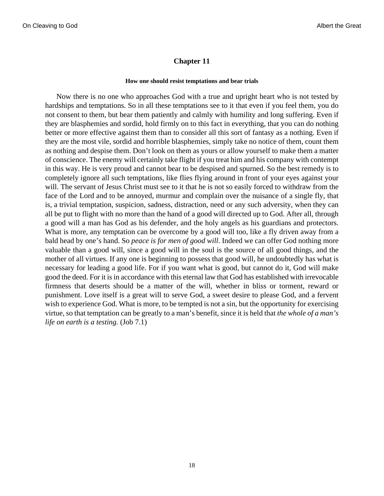#### **How one should resist temptations and bear trials**

<span id="page-21-1"></span><span id="page-21-0"></span>Now there is no one who approaches God with a true and upright heart who is not tested by hardships and temptations. So in all these temptations see to it that even if you feel them, you do not consent to them, but bear them patiently and calmly with humility and long suffering. Even if they are blasphemies and sordid, hold firmly on to this fact in everything, that you can do nothing better or more effective against them than to consider all this sort of fantasy as a nothing. Even if they are the most vile, sordid and horrible blasphemies, simply take no notice of them, count them as nothing and despise them. Don't look on them as yours or allow yourself to make them a matter of conscience. The enemy will certainly take flight if you treat him and his company with contempt in this way. He is very proud and cannot bear to be despised and spurned. So the best remedy is to completely ignore all such temptations, like flies flying around in front of your eyes against your will. The servant of Jesus Christ must see to it that he is not so easily forced to withdraw from the face of the Lord and to be annoyed, murmur and complain over the nuisance of a single fly, that is, a trivial temptation, suspicion, sadness, distraction, need or any such adversity, when they can all be put to flight with no more than the hand of a good will directed up to God. After all, through a good will a man has God as his defender, and the holy angels as his guardians and protectors. What is more, any temptation can be overcome by a good will too, like a fly driven away from a bald head by one's hand. So *peace is for men of good will*. Indeed we can offer God nothing more valuable than a good will, since a good will in the soul is the source of all good things, and the mother of all virtues. If any one is beginning to possess that good will, he undoubtedly has what is necessary for leading a good life. For if you want what is good, but cannot do it, God will make good the deed. For it is in accordance with this eternal law that God has established with irrevocable firmness that deserts should be a matter of the will, whether in bliss or torment, reward or punishment. Love itself is a great will to serve God, a sweet desire to please God, and a fervent wish to experience God. What is more, to be tempted is not a sin, but the opportunity for exercising virtue, so that temptation can be greatly to a man's benefit, since it is held that *the whole of a man's life on earth is a testing.* ([Job 7.1](http://www.ccel.org/b/bible/asv/xml/asv.Job.7.xml#Job.7.1))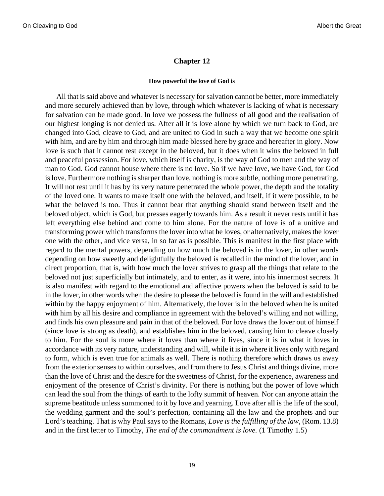#### **How powerful the love of God is**

<span id="page-22-2"></span><span id="page-22-1"></span><span id="page-22-0"></span>All that is said above and whatever is necessary for salvation cannot be better, more immediately and more securely achieved than by love, through which whatever is lacking of what is necessary for salvation can be made good. In love we possess the fullness of all good and the realisation of our highest longing is not denied us. After all it is love alone by which we turn back to God, are changed into God, cleave to God, and are united to God in such a way that we become one spirit with him, and are by him and through him made blessed here by grace and hereafter in glory. Now love is such that it cannot rest except in the beloved, but it does when it wins the beloved in full and peaceful possession. For love, which itself is charity, is the way of God to men and the way of man to God. God cannot house where there is no love. So if we have love, we have God, for God is love. Furthermore nothing is sharper than love, nothing is more subtle, nothing more penetrating. It will not rest until it has by its very nature penetrated the whole power, the depth and the totality of the loved one. It wants to make itself one with the beloved, and itself, if it were possible, to be what the beloved is too. Thus it cannot bear that anything should stand between itself and the beloved object, which is God, but presses eagerly towards him. As a result it never rests until it has left everything else behind and come to him alone. For the nature of love is of a unitive and transforming power which transforms the lover into what he loves, or alternatively, makes the lover one with the other, and vice versa, in so far as is possible. This is manifest in the first place with regard to the mental powers, depending on how much the beloved is in the lover, in other words depending on how sweetly and delightfully the beloved is recalled in the mind of the lover, and in direct proportion, that is, with how much the lover strives to grasp all the things that relate to the beloved not just superficially but intimately, and to enter, as it were, into his innermost secrets. It is also manifest with regard to the emotional and affective powers when the beloved is said to be in the lover, in other words when the desire to please the beloved is found in the will and established within by the happy enjoyment of him. Alternatively, the lover is in the beloved when he is united with him by all his desire and compliance in agreement with the beloved's willing and not willing, and finds his own pleasure and pain in that of the beloved. For love draws the lover out of himself (since love is strong as death), and establishes him in the beloved, causing him to cleave closely to him. For the soul is more where it loves than where it lives, since it is in what it loves in accordance with its very nature, understanding and will, while it is in where it lives only with regard to form, which is even true for animals as well. There is nothing therefore which draws us away from the exterior senses to within ourselves, and from there to Jesus Christ and things divine, more than the love of Christ and the desire for the sweetness of Christ, for the experience, awareness and enjoyment of the presence of Christ's divinity. For there is nothing but the power of love which can lead the soul from the things of earth to the lofty summit of heaven. Nor can anyone attain the supreme beatitude unless summoned to it by love and yearning. Love after all is the life of the soul, the wedding garment and the soul's perfection, containing all the law and the prophets and our Lord's teaching. That is why Paul says to the Romans, *Love is the fulfilling of the law,* [\(Rom. 13.8](http://www.ccel.org/b/bible/asv/xml/asv.Romans.13.xml#Romans.13.8)) and in the first letter to Timothy, *The end of the commandment is love.* [\(1 Timothy 1.5\)](http://www.ccel.org/b/bible/asv/xml/asv.i Timothy.1.xml#i Timothy.1.5)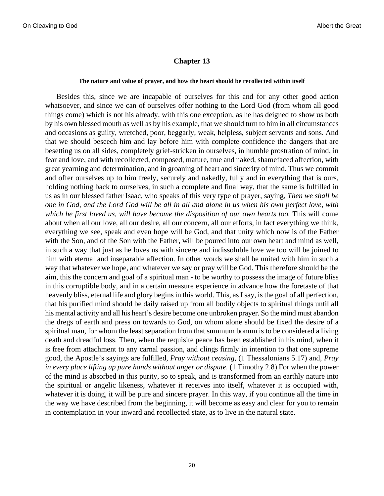#### **The nature and value of prayer, and how the heart should be recollected within itself**

<span id="page-23-2"></span><span id="page-23-1"></span><span id="page-23-0"></span>Besides this, since we are incapable of ourselves for this and for any other good action whatsoever, and since we can of ourselves offer nothing to the Lord God (from whom all good things come) which is not his already, with this one exception, as he has deigned to show us both by his own blessed mouth as well as by his example, that we should turn to him in all circumstances and occasions as guilty, wretched, poor, beggarly, weak, helpless, subject servants and sons. And that we should beseech him and lay before him with complete confidence the dangers that are besetting us on all sides, completely grief-stricken in ourselves, in humble prostration of mind, in fear and love, and with recollected, composed, mature, true and naked, shamefaced affection, with great yearning and determination, and in groaning of heart and sincerity of mind. Thus we commit and offer ourselves up to him freely, securely and nakedly, fully and in everything that is ours, holding nothing back to ourselves, in such a complete and final way, that the same is fulfilled in us as in our blessed father Isaac, who speaks of this very type of prayer, saying, *Then we shall be one in God, and the Lord God will be all in all and alone in us when his own perfect love, with which he first loved us, will have become the disposition of our own hearts too.* This will come about when all our love, all our desire, all our concern, all our efforts, in fact everything we think, everything we see, speak and even hope will be God, and that unity which now is of the Father with the Son, and of the Son with the Father, will be poured into our own heart and mind as well, in such a way that just as he loves us with sincere and indissoluble love we too will be joined to him with eternal and inseparable affection. In other words we shall be united with him in such a way that whatever we hope, and whatever we say or pray will be God. This therefore should be the aim, this the concern and goal of a spiritual man - to be worthy to possess the image of future bliss in this corruptible body, and in a certain measure experience in advance how the foretaste of that heavenly bliss, eternal life and glory begins in this world. This, as I say, is the goal of all perfection, that his purified mind should be daily raised up from all bodily objects to spiritual things until all his mental activity and all his heart's desire become one unbroken prayer. So the mind must abandon the dregs of earth and press on towards to God, on whom alone should be fixed the desire of a spiritual man, for whom the least separation from that summum bonum is to be considered a living death and dreadful loss. Then, when the requisite peace has been established in his mind, when it is free from attachment to any carnal passion, and clings firmly in intention to that one supreme good, the Apostle's sayings are fulfilled, *Pray without ceasing,* [\(1 Thessalonians 5.17\)](http://www.ccel.org/b/bible/asv/xml/asv.i Thessalonians.5.xml#i Thessalonians.5.17) and, *Pray in every place lifting up pure hands without anger or dispute.* [\(1 Timothy 2.8](http://www.ccel.org/b/bible/asv/xml/asv.i Timothy.2.xml#i Timothy.2.8)) For when the power of the mind is absorbed in this purity, so to speak, and is transformed from an earthly nature into the spiritual or angelic likeness, whatever it receives into itself, whatever it is occupied with, whatever it is doing, it will be pure and sincere prayer. In this way, if you continue all the time in the way we have described from the beginning, it will become as easy and clear for you to remain in contemplation in your inward and recollected state, as to live in the natural state.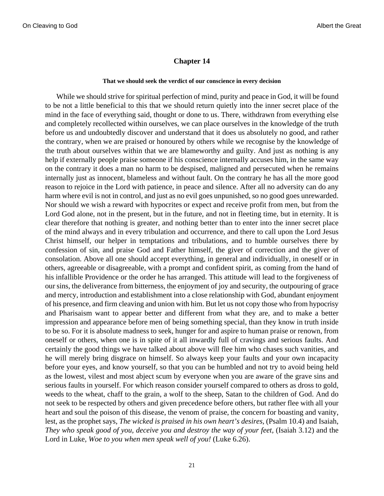#### **That we should seek the verdict of our conscience in every decision**

<span id="page-24-3"></span><span id="page-24-2"></span><span id="page-24-1"></span><span id="page-24-0"></span>While we should strive for spiritual perfection of mind, purity and peace in God, it will be found to be not a little beneficial to this that we should return quietly into the inner secret place of the mind in the face of everything said, thought or done to us. There, withdrawn from everything else and completely recollected within ourselves, we can place ourselves in the knowledge of the truth before us and undoubtedly discover and understand that it does us absolutely no good, and rather the contrary, when we are praised or honoured by others while we recognise by the knowledge of the truth about ourselves within that we are blameworthy and guilty. And just as nothing is any help if externally people praise someone if his conscience internally accuses him, in the same way on the contrary it does a man no harm to be despised, maligned and persecuted when he remains internally just as innocent, blameless and without fault. On the contrary he has all the more good reason to rejoice in the Lord with patience, in peace and silence. After all no adversity can do any harm where evil is not in control, and just as no evil goes unpunished, so no good goes unrewarded. Nor should we wish a reward with hypocrites or expect and receive profit from men, but from the Lord God alone, not in the present, but in the future, and not in fleeting time, but in eternity. It is clear therefore that nothing is greater, and nothing better than to enter into the inner secret place of the mind always and in every tribulation and occurrence, and there to call upon the Lord Jesus Christ himself, our helper in temptations and tribulations, and to humble ourselves there by confession of sin, and praise God and Father himself, the giver of correction and the giver of consolation. Above all one should accept everything, in general and individually, in oneself or in others, agreeable or disagreeable, with a prompt and confident spirit, as coming from the hand of his infallible Providence or the order he has arranged. This attitude will lead to the forgiveness of our sins, the deliverance from bitterness, the enjoyment of joy and security, the outpouring of grace and mercy, introduction and establishment into a close relationship with God, abundant enjoyment of his presence, and firm cleaving and union with him. But let us not copy those who from hypocrisy and Pharisaism want to appear better and different from what they are, and to make a better impression and appearance before men of being something special, than they know in truth inside to be so. For it is absolute madness to seek, hunger for and aspire to human praise or renown, from oneself or others, when one is in spite of it all inwardly full of cravings and serious faults. And certainly the good things we have talked about above will flee him who chases such vanities, and he will merely bring disgrace on himself. So always keep your faults and your own incapacity before your eyes, and know yourself, so that you can be humbled and not try to avoid being held as the lowest, vilest and most abject scum by everyone when you are aware of the grave sins and serious faults in yourself. For which reason consider yourself compared to others as dross to gold, weeds to the wheat, chaff to the grain, a wolf to the sheep, Satan to the children of God. And do not seek to be respected by others and given precedence before others, but rather flee with all your heart and soul the poison of this disease, the venom of praise, the concern for boasting and vanity, lest, as the prophet says, *The wicked is praised in his own heart's desires,* [\(Psalm 10.4\)](http://www.ccel.org/b/bible/asv/xml/asv.Psalms.10.xml#Psalms.10.4) and Isaiah, *They who speak good of you, deceive you and destroy the way of your feet,* [\(Isaiah 3.12](http://www.ccel.org/b/bible/asv/xml/asv.Isaiah.3.xml#Isaiah.3.12)) and the Lord in Luke, *Woe to you when men speak well of you!* ([Luke 6.26](http://www.ccel.org/b/bible/asv/xml/asv.Luke.6.xml#Luke.6.26)).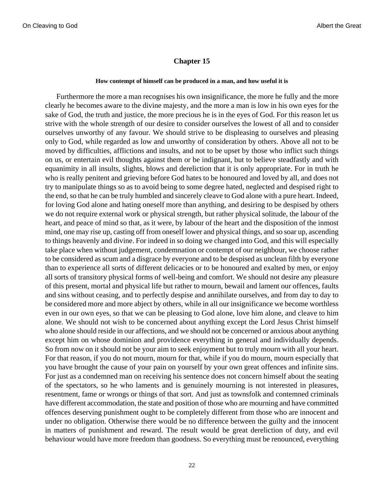#### **How contempt of himself can be produced in a man, and how useful it is**

<span id="page-25-0"></span>Furthermore the more a man recognises his own insignificance, the more he fully and the more clearly he becomes aware to the divine majesty, and the more a man is low in his own eyes for the sake of God, the truth and justice, the more precious he is in the eyes of God. For this reason let us strive with the whole strength of our desire to consider ourselves the lowest of all and to consider ourselves unworthy of any favour. We should strive to be displeasing to ourselves and pleasing only to God, while regarded as low and unworthy of consideration by others. Above all not to be moved by difficulties, afflictions and insults, and not to be upset by those who inflict such things on us, or entertain evil thoughts against them or be indignant, but to believe steadfastly and with equanimity in all insults, slights, blows and dereliction that it is only appropriate. For in truth he who is really penitent and grieving before God hates to be honoured and loved by all, and does not try to manipulate things so as to avoid being to some degree hated, neglected and despised right to the end, so that he can be truly humbled and sincerely cleave to God alone with a pure heart. Indeed, for loving God alone and hating oneself more than anything, and desiring to be despised by others we do not require external work or physical strength, but rather physical solitude, the labour of the heart, and peace of mind so that, as it were, by labour of the heart and the disposition of the inmost mind, one may rise up, casting off from oneself lower and physical things, and so soar up, ascending to things heavenly and divine. For indeed in so doing we changed into God, and this will especially take place when without judgement, condemnation or contempt of our neighbour, we choose rather to be considered as scum and a disgrace by everyone and to be despised as unclean filth by everyone than to experience all sorts of different delicacies or to be honoured and exalted by men, or enjoy all sorts of transitory physical forms of well-being and comfort. We should not desire any pleasure of this present, mortal and physical life but rather to mourn, bewail and lament our offences, faults and sins without ceasing, and to perfectly despise and annihilate ourselves, and from day to day to be considered more and more abject by others, while in all our insignificance we become worthless even in our own eyes, so that we can be pleasing to God alone, love him alone, and cleave to him alone. We should not wish to be concerned about anything except the Lord Jesus Christ himself who alone should reside in our affections, and we should not be concerned or anxious about anything except him on whose dominion and providence everything in general and individually depends. So from now on it should not be your aim to seek enjoyment but to truly mourn with all your heart. For that reason, if you do not mourn, mourn for that, while if you do mourn, mourn especially that you have brought the cause of your pain on yourself by your own great offences and infinite sins. For just as a condemned man on receiving his sentence does not concern himself about the seating of the spectators, so he who laments and is genuinely mourning is not interested in pleasures, resentment, fame or wrongs or things of that sort. And just as townsfolk and contemned criminals have different accommodation, the state and position of those who are mourning and have committed offences deserving punishment ought to be completely different from those who are innocent and under no obligation. Otherwise there would be no difference between the guilty and the innocent in matters of punishment and reward. The result would be great dereliction of duty, and evil behaviour would have more freedom than goodness. So everything must be renounced, everything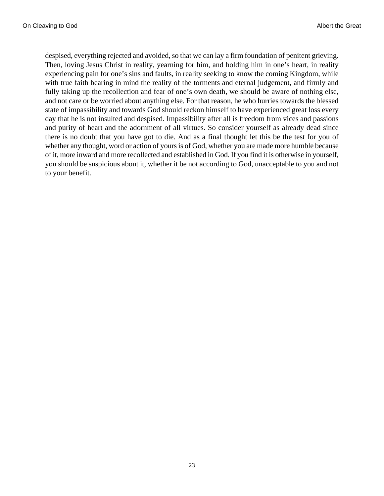despised, everything rejected and avoided, so that we can lay a firm foundation of penitent grieving. Then, loving Jesus Christ in reality, yearning for him, and holding him in one's heart, in reality experiencing pain for one's sins and faults, in reality seeking to know the coming Kingdom, while with true faith bearing in mind the reality of the torments and eternal judgement, and firmly and fully taking up the recollection and fear of one's own death, we should be aware of nothing else, and not care or be worried about anything else. For that reason, he who hurries towards the blessed state of impassibility and towards God should reckon himself to have experienced great loss every day that he is not insulted and despised. Impassibility after all is freedom from vices and passions and purity of heart and the adornment of all virtues. So consider yourself as already dead since there is no doubt that you have got to die. And as a final thought let this be the test for you of whether any thought, word or action of yours is of God, whether you are made more humble because of it, more inward and more recollected and established in God. If you find it is otherwise in yourself, you should be suspicious about it, whether it be not according to God, unacceptable to you and not to your benefit.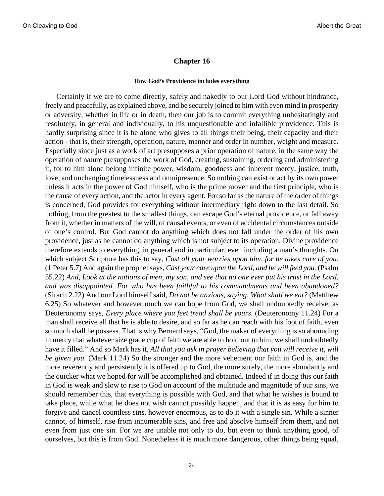#### **How God's Providence includes everything**

<span id="page-27-4"></span><span id="page-27-3"></span><span id="page-27-2"></span><span id="page-27-1"></span><span id="page-27-0"></span>Certainly if we are to come directly, safely and nakedly to our Lord God without hindrance, freely and peacefully, as explained above, and be securely joined to him with even mind in prosperity or adversity, whether in life or in death, then our job is to commit everything unhesitatingly and resolutely, in general and individually, to his unquestionable and infallible providence. This is hardly surprising since it is he alone who gives to all things their being, their capacity and their action - that is, their strength, operation, nature, manner and order in number, weight and measure. Especially since just as a work of art presupposes a prior operation of nature, in the same way the operation of nature presupposes the work of God, creating, sustaining, ordering and administering it, for to him alone belong infinite power, wisdom, goodness and inherent mercy, justice, truth, love, and unchanging timelessness and omnipresence. So nothing can exist or act by its own power unless it acts in the power of God himself, who is the prime mover and the first principle, who is the cause of every action, and the actor in every agent. For so far as the nature of the order of things is concerned, God provides for everything without intermediary right down to the last detail. So nothing, from the greatest to the smallest things, can escape God's eternal providence, or fall away from it, whether in matters of the will, of causal events, or even of accidental circumstances outside of one's control. But God cannot do anything which does not fall under the order of his own providence, just as he cannot do anything which is not subject to its operation. Divine providence therefore extends to everything, in general and in particular, even including a man's thoughts. On which subject Scripture has this to say, *Cast all your worries upon him, for he takes care of you.* ([1 Peter 5.7\)](http://www.ccel.org/b/bible/asv/xml/asv.i Peter.5.xml#i Peter.5.7) And again the prophet says, *Cast your care upon the Lord, and he will feed you.* ([Psalm](http://www.ccel.org/b/bible/asv/xml/asv.Psalms.55.xml#Psalms.55.22) [55.22](http://www.ccel.org/b/bible/asv/xml/asv.Psalms.55.xml#Psalms.55.22)) *And, Look at the nations of men, my son, and see that no one ever put his trust in the Lord, and was disappointed. For who has been faithful to his commandments and been abandoned?* ([Sirach 2.22](http://www.ccel.org/b/bible/asv/xml/asv.Sirach.2.xml#Sirach.2.22)) And our Lord himself said, *Do not be anxious, saying, What shall we eat?* [\(Matthew](http://www.ccel.org/b/bible/asv/xml/asv.Matthew.6.xml#Matthew.6.25) [6.25](http://www.ccel.org/b/bible/asv/xml/asv.Matthew.6.xml#Matthew.6.25)) So whatever and however much we can hope from God, we shall undoubtedly receive, as Deuteronomy says, *Every place where you feet tread shall be yours.* ([Deuteronomy 11.24](http://www.ccel.org/b/bible/asv/xml/asv.Deuteronomy.11.xml#Deuteronomy.11.24)) For a man shall receive all that he is able to desire, and so far as he can reach with his foot of faith, even so much shall he possess. That is why Bernard says, "God, the maker of everything is so abounding in mercy that whatever size grace cup of faith we are able to hold out to him, we shall undoubtedly have it filled." And so Mark has it, *All that you ask in prayer believing that you will receive it, will be given you.* [\(Mark 11.24\)](http://www.ccel.org/b/bible/asv/xml/asv.Mark.11.xml#Mark.11.24) So the stronger and the more vehement our faith in God is, and the more reverently and persistently it is offered up to God, the more surely, the more abundantly and the quicker what we hoped for will be accomplished and obtained. Indeed if in doing this our faith in God is weak and slow to rise to God on account of the multitude and magnitude of our sins, we should remember this, that everything is possible with God, and that what he wishes is bound to take place, while what he does not wish cannot possibly happen, and that it is as easy for him to forgive and cancel countless sins, however enormous, as to do it with a single sin. While a sinner cannot, of himself, rise from innumerable sins, and free and absolve himself from them, and not even from just one sin. For we are unable not only to do, but even to think anything good, of ourselves, but this is from God. Nonetheless it is much more dangerous, other things being equal,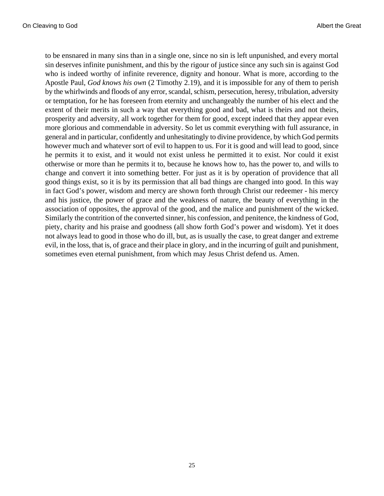<span id="page-28-0"></span>to be ensnared in many sins than in a single one, since no sin is left unpunished, and every mortal sin deserves infinite punishment, and this by the rigour of justice since any such sin is against God who is indeed worthy of infinite reverence, dignity and honour. What is more, according to the Apostle Paul, *God knows his own* [\(2 Timothy 2.19\)](http://www.ccel.org/b/bible/asv/xml/asv.ii Timothy.2.xml#ii Timothy.2.19), and it is impossible for any of them to perish by the whirlwinds and floods of any error, scandal, schism, persecution, heresy, tribulation, adversity or temptation, for he has foreseen from eternity and unchangeably the number of his elect and the extent of their merits in such a way that everything good and bad, what is theirs and not theirs, prosperity and adversity, all work together for them for good, except indeed that they appear even more glorious and commendable in adversity. So let us commit everything with full assurance, in general and in particular, confidently and unhesitatingly to divine providence, by which God permits however much and whatever sort of evil to happen to us. For it is good and will lead to good, since he permits it to exist, and it would not exist unless he permitted it to exist. Nor could it exist otherwise or more than he permits it to, because he knows how to, has the power to, and wills to change and convert it into something better. For just as it is by operation of providence that all good things exist, so it is by its permission that all bad things are changed into good. In this way in fact God's power, wisdom and mercy are shown forth through Christ our redeemer - his mercy and his justice, the power of grace and the weakness of nature, the beauty of everything in the association of opposites, the approval of the good, and the malice and punishment of the wicked. Similarly the contrition of the converted sinner, his confession, and penitence, the kindness of God, piety, charity and his praise and goodness (all show forth God's power and wisdom). Yet it does not always lead to good in those who do ill, but, as is usually the case, to great danger and extreme evil, in the loss, that is, of grace and their place in glory, and in the incurring of guilt and punishment, sometimes even eternal punishment, from which may Jesus Christ defend us. Amen.